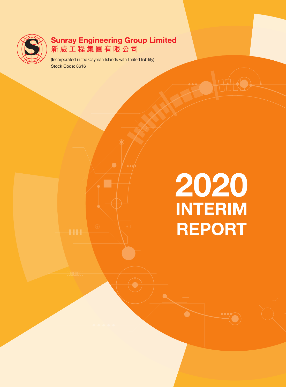

# Sunray Engineering Group Limited<br>新威工程集團有限公司

(Incorporated in the Cayman Islands with limited liability) Stock Code: 8616

# **2020**<br>INTERIM **REPORT**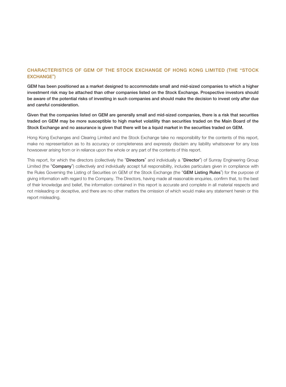### CHARACTERISTICS OF GEM OF THE STOCK EXCHANGE OF HONG KONG LIMITED (THE "STOCK EXCHANGE")

GEM has been positioned as a market designed to accommodate small and mid-sized companies to which a higher investment risk may be attached than other companies listed on the Stock Exchange. Prospective investors should be aware of the potential risks of investing in such companies and should make the decision to invest only after due and careful consideration.

Given that the companies listed on GEM are generally small and mid-sized companies, there is a risk that securities traded on GEM may be more susceptible to high market volatility than securities traded on the Main Board of the Stock Exchange and no assurance is given that there will be a liquid market in the securities traded on GEM.

Hong Kong Exchanges and Clearing Limited and the Stock Exchange take no responsibility for the contents of this report, make no representation as to its accuracy or completeness and expressly disclaim any liability whatsoever for any loss howsoever arising from or in reliance upon the whole or any part of the contents of this report.

This report, for which the directors (collectively the "Directors" and individually a "Director") of Sunray Engineering Group Limited (the "Company") collectively and individually accept full responsibility, includes particulars given in compliance with the Rules Governing the Listing of Securities on GEM of the Stock Exchange (the "GEM Listing Rules") for the purpose of giving information with regard to the Company. The Directors, having made all reasonable enquiries, confirm that, to the best of their knowledge and belief, the information contained in this report is accurate and complete in all material respects and not misleading or deceptive, and there are no other matters the omission of which would make any statement herein or this report misleading.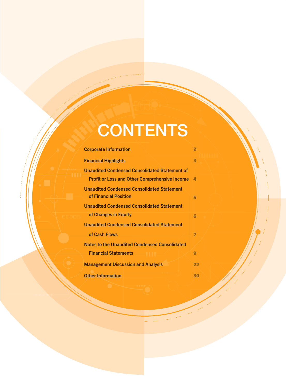# **CONTENTS**

| <b>Corporate Information</b>                                               | $\overline{\mathbf{2}}$ |
|----------------------------------------------------------------------------|-------------------------|
| <b>Financial Highlights</b>                                                | 3                       |
| <b>Unaudited Condensed Consolidated Statement of</b>                       |                         |
| <b>Profit or Loss and Other Comprehensive Income</b>                       | Δ.                      |
| <b>Unaudited Condensed Consolidated Statement</b><br>of Financial Position | 5                       |
| <b>Unaudited Condensed Consolidated Statement</b>                          |                         |
| of Changes in Equity                                                       | Ã                       |
| <b>Unaudited Condensed Consolidated Statement</b>                          |                         |
| of Cash Flows                                                              | 7                       |
| <b>Notes to the Unaudited Condensed Consolidated</b>                       |                         |
| <b>Financial Statements</b>                                                | 9                       |
| <b>Management Discussion and Analysis</b>                                  | 22                      |
| <b>Other Information</b>                                                   | 30                      |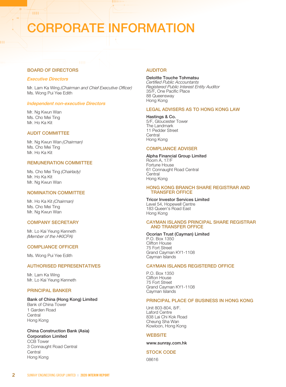# CORPORATE INFORMATION

### BOARD OF DIRECTORS

### Executive Directors

**HH** 

Mr. Lam Ka Wing (Chairman and Chief Executive Officer) Ms. Wong Pui Yee Edith

### Independent non-executive Directors

Mr. Ng Kwun Wan Ms. Cho Mei Ting Mr. Ho Ka Kit

### AUDIT COMMITTEE

Mr. Ng Kwun Wan (Chairman) Ms. Cho Mei Ting Mr. Ho Ka Kit

### REMUNERATION COMMITTEE

Ms. Cho Mei Ting (Chairlady) Mr. Ho Ka Kit Mr. Ng Kwun Wan

### NOMINATION COMMITTEE

Mr. Ho Ka Kit (Chairman) Ms. Cho Mei Ting Mr. Ng Kwun Wan

### COMPANY SECRETARY

Mr. Lo Kai Yeung Kenneth (Member of the HKICPA)

### COMPLIANCE OFFICER

Ms. Wong Pui Yee Edith

### AUTHORISED REPRESENTATIVES

Mr. Lam Ka Wing Mr. Lo Kai Yeung Kenneth

### PRINCIPAL BANKER

#### Bank of China (Hong Kong) Limited Bank of China Tower

1 Garden Road **Central** Hong Kong

### China Construction Bank (Asia)

Corporation Limited CCB Tower 3 Connaught Road Central **Central** Hong Kong

### **AUDITOR**

#### Deloitte Touche Tohmatsu

Certified Public Accountants Registered Public Interest Entity Auditor 35/F, One Pacific Place 88 Queensway Hong Kong

### LEGAL ADVISERS AS TO HONG KONG LAW

Hastings & Co. 5/F, Gloucester Tower The Landmark 11 Pedder Street **Central** Hong Kong

### COMPLIANCE ADVISER

### Alpha Financial Group Limited

Room A, 17/F Fortune House 61 Connaught Road Central **Central** Hong Kong

### HONG KONG BRANCH SHARE REGISTRAR AND TRANSFER OFFICE

Tricor Investor Services Limited Level 54, Hopewell Centre 183 Queen's Road East Hong Kong

#### CAYMAN ISLANDS PRINCIPAL SHARE REGISTRAR AND TRANSFER OFFICE

### Ocorian Trust (Cayman) Limited

P.O. Box 1350 Clifton House 75 Fort Street Grand Cayman KY1-1108 Cayman Islands

### CAYMAN ISLANDS REGISTERED OFFICE

P.O. Box 1350 Clifton House 75 Fort Street Grand Cayman KY1-1108 Cayman Islands

### PRINCIPAL PLACE OF BUSINESS IN HONG KONG

Unit 803-804, 8/F. Laford Centre 838 Lai Chi Kok Road Cheung Sha Wan Kowloon, Hong Kong

#### **WEBSITE**

www.sunray.com.hk

### STOCK CODE

08616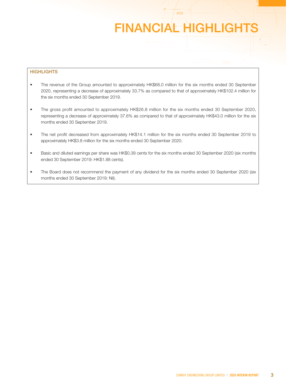# FINANCIAL HIGHLIGHTS

**HH** 

### **HIGHLIGHTS**

- The revenue of the Group amounted to approximately HK\$68.0 million for the six months ended 30 September 2020, representing a decrease of approximately 33.7% as compared to that of approximately HK\$102.4 million for the six months ended 30 September 2019.
- The gross profit amounted to approximately HK\$26.8 million for the six months ended 30 September 2020, representing a decrease of approximately 37.6% as compared to that of approximately HK\$43.0 million for the six months ended 30 September 2019.
- The net profit decreased from approximately HK\$14.1 million for the six months ended 30 September 2019 to approximately HK\$3.8 million for the six months ended 30 September 2020.
- Basic and diluted earnings per share was HK\$0.39 cents for the six months ended 30 September 2020 (six months ended 30 September 2019: HK\$1.88 cents).
- The Board does not recommend the payment of any dividend for the six months ended 30 September 2020 (six months ended 30 September 2019: Nil).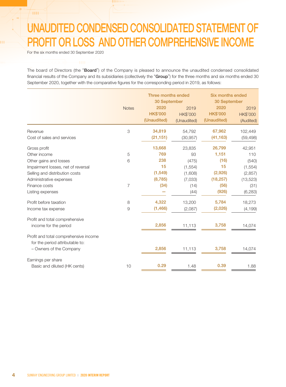# UNAUDITED CONDENSED CONSOLIDATED STATEMENT OF PROFIT OR LOSS AND OTHER COMPREHENSIVE INCOME

For the six months ended 30 September 2020

**THE** 

нŧ

The board of Directors (the "Board") of the Company is pleased to announce the unaudited condensed consolidated financial results of the Company and its subsidiaries (collectively the "Group") for the three months and six months ended 30 September 2020, together with the comparative figures for the corresponding period in 2019, as follows:

|                                       | Three months ended<br>30 September |                 | <b>Six months ended</b><br>30 September |                 |                 |
|---------------------------------------|------------------------------------|-----------------|-----------------------------------------|-----------------|-----------------|
|                                       | <b>Notes</b>                       | 2020            | 2019                                    | 2020            | 2019            |
|                                       |                                    | <b>HK\$'000</b> | <b>HK\$'000</b>                         | <b>HK\$'000</b> | <b>HK\$'000</b> |
|                                       |                                    | (Unaudited)     | (Unaudited)                             | (Unaudited)     | (Audited)       |
| Revenue                               | 3                                  | 34,819          | 54,792                                  | 67,962          | 102,449         |
| Cost of sales and services            |                                    | (21, 151)       | (30, 957)                               | (41, 163)       | (59, 498)       |
| Gross profit                          |                                    | 13,668          | 23,835                                  | 26,799          | 42,951          |
| Other income                          | 5                                  | 769             | 93                                      | 1,151           | 110             |
| Other gains and losses                | 6                                  | 238             | (475)                                   | (16)            | (540)           |
| Impairment losses, net of reversal    |                                    | 15              | (1, 554)                                | 15              | (1, 554)        |
| Selling and distribution costs        |                                    | (1, 549)        | (1,608)                                 | (2,926)         | (2, 857)        |
| Administrative expenses               |                                    | (8,785)         | (7,033)                                 | (18, 257)       | (13, 523)       |
| Finance costs                         | $\overline{7}$                     | (34)            | (14)                                    | (56)            | (31)            |
| Listing expenses                      |                                    |                 | (44)                                    | (926)           | (6, 283)        |
| Profit before taxation                | 8                                  | 4,322           | 13,200                                  | 5,784           | 18,273          |
| Income tax expense                    | 9                                  | (1, 466)        | (2,087)                                 | (2,026)         | (4, 199)        |
| Profit and total comprehensive        |                                    |                 |                                         |                 |                 |
| income for the period                 |                                    | 2,856           | 11,113                                  | 3,758           | 14,074          |
| Profit and total comprehensive income |                                    |                 |                                         |                 |                 |
| for the period attributable to:       |                                    |                 |                                         |                 |                 |
| - Owners of the Company               |                                    | 2,856           | 11,113                                  | 3,758           | 14,074          |
| Earnings per share                    |                                    |                 |                                         |                 |                 |
| Basic and diluted (HK cents)          | 10                                 | 0.29            | 1.48                                    | 0.39            | 1.88            |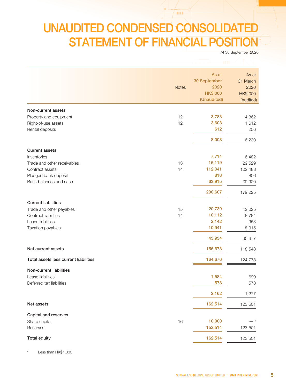## UNAUDITED CONDENSED CONSOLIDATED STATEMENT OF FINANCIAL POSITION

 $\angle$ HH-

At 30 September 2020

|                                       | <b>Notes</b> | As at<br>30 September<br>2020<br><b>HK\$'000</b><br>(Unaudited) | As at<br>31 March<br>2020<br><b>HK\$'000</b><br>(Audited) |
|---------------------------------------|--------------|-----------------------------------------------------------------|-----------------------------------------------------------|
| Non-current assets                    |              |                                                                 |                                                           |
| Property and equipment                | 12           | 3,783                                                           | 4,362                                                     |
| Right-of-use assets                   | 12           | 3,608                                                           | 1,612                                                     |
| Rental deposits                       |              | 612                                                             | 256                                                       |
|                                       |              | 8,003                                                           | 6,230                                                     |
| <b>Current assets</b>                 |              |                                                                 |                                                           |
| Inventories                           |              | 7,714                                                           | 6,482                                                     |
| Trade and other receivables           | 13           | 16,119                                                          | 29,529                                                    |
| Contract assets                       | 14           | 112,041                                                         | 102,488                                                   |
| Pledged bank deposit                  |              | 818                                                             | 806                                                       |
| Bank balances and cash                |              | 63,915                                                          | 39,920                                                    |
|                                       |              | 200,607                                                         | 179,225                                                   |
| <b>Current liabilities</b>            |              |                                                                 |                                                           |
| Trade and other payables              | 15           | 20,739                                                          | 42,025                                                    |
| Contract liabilities                  | 14           | 10,112                                                          | 8,784                                                     |
| Lease liabilities                     |              | 2,142                                                           | 953                                                       |
| Taxation payables                     |              | 10,941                                                          | 8,915                                                     |
|                                       |              | 43,934                                                          | 60,677                                                    |
| Net current assets                    |              | 156,673                                                         | 118,548                                                   |
| Total assets less current liabilities |              | 164,676                                                         | 124,778                                                   |
| Non-current liabilities               |              |                                                                 |                                                           |
| Lease liabilities                     |              | 1,584                                                           | 699                                                       |
| Deferred tax liabilities              |              | 578                                                             | 578                                                       |
|                                       |              | 2,162                                                           | 1,277                                                     |
| Net assets                            |              | 162,514                                                         | 123,501                                                   |
| Capital and reserves                  |              |                                                                 |                                                           |
| Share capital                         | 16           | 10,000                                                          | _ #                                                       |
| Reserves                              |              | 152,514                                                         | 123,501                                                   |
| <b>Total equity</b>                   |              | 162,514                                                         | 123,501                                                   |

# Less than HK\$1,000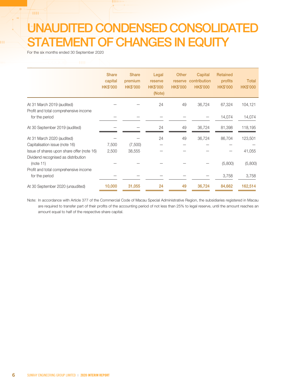# UNAUDITED CONDENSED CONSOLIDATED STATEMENT OF CHANGES IN EQUITY

For the six months ended 30 September 2020

-m

|                                                                                   | <b>Share</b><br>capital<br><b>HK\$'000</b> | <b>Share</b><br>premium<br><b>HK\$'000</b> | Legal<br>reserve<br><b>HK\$'000</b><br>(Note) | <b>Other</b><br>reserve<br><b>HK\$'000</b> | Capital<br>contribution<br><b>HK\$'000</b> | <b>Retained</b><br>profits<br><b>HK\$'000</b> | <b>Total</b><br><b>HK\$'000</b> |
|-----------------------------------------------------------------------------------|--------------------------------------------|--------------------------------------------|-----------------------------------------------|--------------------------------------------|--------------------------------------------|-----------------------------------------------|---------------------------------|
| At 31 March 2019 (audited)<br>Profit and total comprehensive income               |                                            |                                            | 24                                            | 49                                         | 36,724                                     | 67,324                                        | 104,121                         |
| for the period                                                                    |                                            |                                            |                                               |                                            |                                            | 14,074                                        | 14,074                          |
| At 30 September 2019 (audited)                                                    |                                            |                                            | 24                                            | 49                                         | 36,724                                     | 81,398                                        | 118,195                         |
| At 31 March 2020 (audited)                                                        |                                            |                                            | 24                                            | 49                                         | 36,724                                     | 86,704                                        | 123,501                         |
| Capitalisation issue (note 16)                                                    | 7,500                                      | (7,500)                                    |                                               |                                            |                                            |                                               |                                 |
| Issue of shares upon share offer (note 16)<br>Dividend recognised as distribution | 2,500                                      | 38,555                                     |                                               |                                            |                                            |                                               | 41,055                          |
| (note 11)                                                                         |                                            |                                            |                                               |                                            |                                            | (5,800)                                       | (5,800)                         |
| Profit and total comprehensive income                                             |                                            |                                            |                                               |                                            |                                            |                                               |                                 |
| for the period                                                                    |                                            |                                            |                                               |                                            |                                            | 3,758                                         | 3,758                           |
| At 30 September 2020 (unaudited)                                                  | 10,000                                     | 31,055                                     | 24                                            | 49                                         | 36,724                                     | 84,662                                        | 162,514                         |

Note: In accordance with Article 377 of the Commercial Code of Macau Special Administrative Region, the subsidiaries registered in Macau are required to transfer part of their profits of the accounting period of not less than 25% to legal reserve, until the amount reaches an amount equal to half of the respective share capital.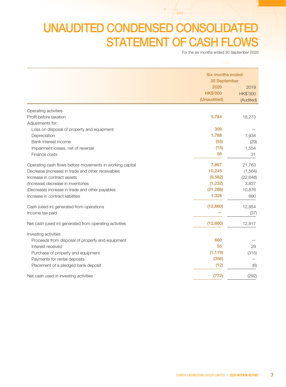# UNAUDITED CONDENSED CONSOLIDATED STATEMENT OF CASH FLOWS

 $/$  HH-

For the six months ended 30 September 2020

|                                                          | <b>Six months ended</b> |                 |
|----------------------------------------------------------|-------------------------|-----------------|
|                                                          | 30 September            |                 |
|                                                          | 2020                    | 2019            |
|                                                          | <b>HK\$'000</b>         | <b>HK\$'000</b> |
|                                                          | (Unaudited)             | (Audited)       |
| Operating activities                                     |                         |                 |
| Profit before taxation                                   | 5,784                   | 18,273          |
| Adjustments for:                                         |                         |                 |
| Loss on disposal of property and equipment               | 309                     |                 |
| Depreciation                                             | 1,788                   | 1,934           |
| Bank interest income                                     | (55)                    | (29)            |
| Impairment losses, net of reversal                       | (15)                    | 1,554           |
| Finance costs                                            | 56                      | 31              |
| Operating cash flows before movements in working capital | 7,867                   | 21,763          |
| Decrease (increase) in trade and other receivables       | 10,245                  | (1, 564)        |
| Increase in contract assets                              | (9,582)                 | (22, 648)       |
| (Increase) decrease in inventories                       | (1, 232)                | 3,837           |
| (Decrease) increase in trade and other payables          | (21, 286)               | 10,876          |
| Increase in contract liabilities                         | 1,328                   | 690             |
| Cash (used in) generated from operations                 | (12,660)                | 12,954          |
| Income tax paid                                          |                         | (37)            |
| Net cash (used in) generated from operating activities   | (12,660)                | 12,917          |
| Investing activities                                     |                         |                 |
| Proceeds from disposal of property and equipment         | 660                     |                 |
| Interest received                                        | 55                      | 29              |
| Purchase of property and equipment                       | (1, 119)                | (315)           |
| Payments for rental deposits                             | (356)                   |                 |
| Placement of a pledged bank deposit                      | (12)                    | (6)             |
| Net cash used in investing activities                    | (772)                   | (292)           |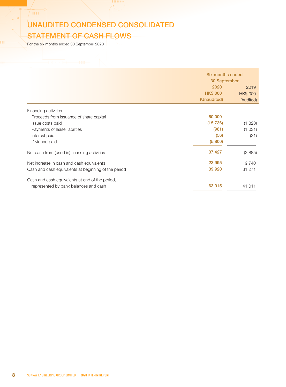### UNAUDITED CONDENSED CONSOLIDATED STATEMENT OF CASH FLOWS

For the six months ended 30 September 2020

HE.

|                                                      | Six months ended |                 |  |  |
|------------------------------------------------------|------------------|-----------------|--|--|
|                                                      | 30 September     |                 |  |  |
|                                                      | 2020             | 2019            |  |  |
|                                                      | <b>HK\$'000</b>  | <b>HK\$'000</b> |  |  |
|                                                      | (Unaudited)      | (Audited)       |  |  |
| Financing activities                                 |                  |                 |  |  |
| Proceeds from issuance of share capital              | 60,000           |                 |  |  |
| Issue costs paid                                     | (15, 736)        | (1,823)         |  |  |
| Payments of lease liabilities                        | (981)            | (1,031)         |  |  |
| Interest paid                                        | (56)             | (31)            |  |  |
| Dividend paid                                        | (5,800)          |                 |  |  |
| Net cash from (used in) financing activities         | 37,427           | (2,885)         |  |  |
| Net increase in cash and cash equivalents            | 23,995           | 9,740           |  |  |
| Cash and cash equivalents at beginning of the period | 39,920           | 31,271          |  |  |
| Cash and cash equivalents at end of the period,      |                  |                 |  |  |
| represented by bank balances and cash                | 63,915           | 41,011          |  |  |
|                                                      |                  |                 |  |  |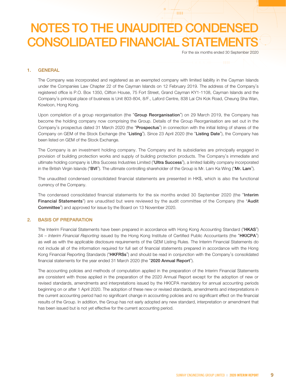**HH** 

For the six months ended 30 September 2020

### 1. GENERAL

The Company was incorporated and registered as an exempted company with limited liability in the Cayman Islands under the Companies Law Chapter 22 of the Cayman Islands on 12 February 2019. The address of the Company's registered office is P.O. Box 1350, Clifton House, 75 Fort Street, Grand Cayman KY1-1108, Cayman Islands and the Company's principal place of business is Unit 803-804, 8/F., Laford Centre, 838 Lai Chi Kok Road, Cheung Sha Wan, Kowloon, Hong Kong.

Upon completion of a group reorganisation (the "Group Reorganisation") on 29 March 2019, the Company has become the holding company now comprising the Group. Details of the Group Reorganisation are set out in the Company's prospectus dated 31 March 2020 (the "Prospectus") in connection with the initial listing of shares of the Company on GEM of the Stock Exchange (the "Listing"). Since 23 April 2020 (the "Listing Date"), the Company has been listed on GEM of the Stock Exchange.

The Company is an investment holding company. The Company and its subsidiaries are principally engaged in provision of building protection works and supply of building protection products. The Company's immediate and ultimate holding company is Ultra Success Industries Limited ("Ultra Success"), a limited liability company incorporated in the British Virgin Islands ("BVI"). The ultimate controlling shareholder of the Group is Mr. Lam Ka Wing ("Mr. Lam").

The unaudited condensed consolidated financial statements are presented in HK\$, which is also the functional currency of the Company.

The condensed consolidated financial statements for the six months ended 30 September 2020 (the "Interim Financial Statements") are unaudited but were reviewed by the audit committee of the Company (the "Audit Committee") and approved for issue by the Board on 13 November 2020.

### 2. BASIS OF PREPARATION

The Interim Financial Statements have been prepared in accordance with Hong Kong Accounting Standard ("HKAS") 34 – Interim Financial Reporting issued by the Hong Kong Institute of Certified Public Accountants (the "HKICPA") as well as with the applicable disclosure requirements of the GEM Listing Rules. The Interim Financial Statements do not include all of the information required for full set of financial statements prepared in accordance with the Hong Kong Financial Reporting Standards ("HKFRSs") and should be read in conjunction with the Company's consolidated financial statements for the year ended 31 March 2020 (the "2020 Annual Report").

The accounting policies and methods of computation applied in the preparation of the Interim Financial Statements are consistent with those applied in the preparation of the 2020 Annual Report except for the adoption of new or revised standards, amendments and interpretations issued by the HKICPA mandatory for annual accounting periods beginning on or after 1 April 2020. The adoption of these new or revised standards, amendments and interpretations in the current accounting period had no significant change in accounting policies and no significant effect on the financial results of the Group. In addition, the Group has not early adopted any new standard, interpretation or amendment that has been issued but is not yet effective for the current accounting period.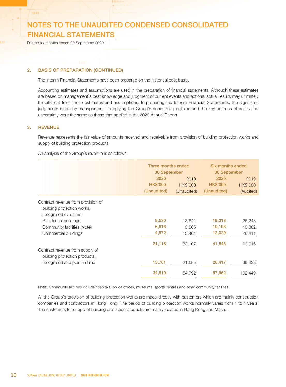For the six months ended 30 September 2020

### 2. BASIS OF PREPARATION (CONTINUED)

The Interim Financial Statements have been prepared on the historical cost basis.

Accounting estimates and assumptions are used in the preparation of financial statements. Although these estimates are based on management's best knowledge and judgment of current events and actions, actual results may ultimately be different from those estimates and assumptions. In preparing the Interim Financial Statements, the significant judgments made by management in applying the Group's accounting policies and the key sources of estimation uncertainty were the same as those that applied in the 2020 Annual Report.

### 3. REVENUE

 $+111$ 

Revenue represents the fair value of amounts received and receivable from provision of building protection works and supply of building protection products.

An analysis of the Group's revenue is as follows:

|                                    | Three months ended |                 | Six months ended |                 |  |
|------------------------------------|--------------------|-----------------|------------------|-----------------|--|
|                                    | 30 September       |                 | 30 September     |                 |  |
|                                    | 2020               | 2019            | 2020             | 2019            |  |
|                                    | <b>HK\$'000</b>    | <b>HK\$'000</b> | <b>HK\$'000</b>  | <b>HK\$'000</b> |  |
|                                    | (Unaudited)        | (Unaudited)     | (Unaudited)      | (Audited)       |  |
| Contract revenue from provision of |                    |                 |                  |                 |  |
| building protection works,         |                    |                 |                  |                 |  |
| recognised over time:              |                    |                 |                  |                 |  |
| Residential buildings              | 9,530              | 13.841          | 19,318           | 26,243          |  |
| Community facilities (Note)        | 6,616              | 5,805           | 10,198           | 10,362          |  |
| Commercial buildings               | 4,972              | 13,461          | 12,029           | 26,411          |  |
|                                    | 21,118             | 33,107          | 41,545           | 63,016          |  |
| Contract revenue from supply of    |                    |                 |                  |                 |  |
| building protection products,      |                    |                 |                  |                 |  |
| recognised at a point in time      | 13,701             | 21,685          | 26,417           | 39,433          |  |
|                                    | 34,819             | 54,792          | 67,962           | 102,449         |  |

Note: Community facilities include hospitals, police offices, museums, sports centres and other community facilities.

All the Group's provision of building protection works are made directly with customers which are mainly construction companies and contractors in Hong Kong. The period of building protection works normally varies from 1 to 4 years. The customers for supply of building protection products are mainly located in Hong Kong and Macau.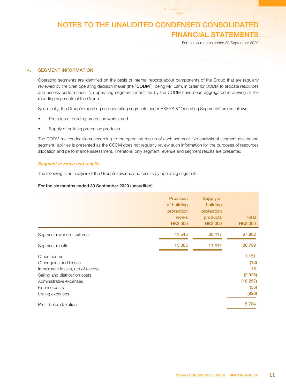**HH** 

For the six months ended 30 September 2020

### 4. SEGMENT INFORMATION

Operating segments are identified on the basis of internal reports about components of the Group that are regularly reviewed by the chief operating decision maker (the "CODM"), being Mr. Lam, in order for CODM to allocate resources and assess performance. No operating segments identified by the CODM have been aggregated in arriving at the reporting segments of the Group.

Specifically, the Group's reporting and operating segments under HKFRS 8 "Operating Segments" are as follows:

- Provision of building protection works; and
- Supply of building protection products.

The CODM makes decisions according to the operating results of each segment. No analysis of segment assets and segment liabilities is presented as the CODM does not regularly review such information for the purposes of resources allocation and performance assessment. Therefore, only segment revenue and segment results are presented.

### Segment revenue and results

The following is an analysis of the Group's revenue and results by operating segments:

### For the six months ended 30 September 2020 (unaudited)

|                                                                                                                                                                                | <b>Provision</b><br>of building<br>protection<br>works<br><b>HK\$'000</b> | Supply of<br>building<br>protection<br>products<br><b>HK\$'000</b> | <b>Total</b><br><b>HK\$'000</b>                              |
|--------------------------------------------------------------------------------------------------------------------------------------------------------------------------------|---------------------------------------------------------------------------|--------------------------------------------------------------------|--------------------------------------------------------------|
| Segment revenue - external                                                                                                                                                     | 41,545                                                                    | 26,417                                                             | 67,962                                                       |
| Segment results                                                                                                                                                                | 15,385                                                                    | 11,414                                                             | 26,799                                                       |
| Other income<br>Other gains and losses<br>Impairment losses, net of reversal<br>Selling and distribution costs<br>Administrative expenses<br>Finance costs<br>Listing expenses |                                                                           |                                                                    | 1,151<br>(16)<br>15<br>(2,926)<br>(18, 257)<br>(56)<br>(926) |
| Profit before taxation                                                                                                                                                         |                                                                           |                                                                    | 5,784                                                        |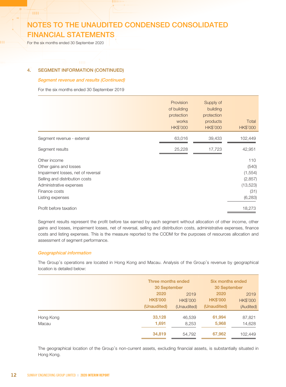For the six months ended 30 September 2020

-m

### 4. SEGMENT INFORMATION (CONTINUED)

### Segment revenue and results (Continued)

For the six months ended 30 September 2019

|                                                                                                                                                                                | Provision<br>of building<br>protection<br>works<br><b>HK\$'000</b> | Supply of<br>building<br>protection<br>products<br><b>HK\$'000</b> | Total<br>HK\$'000                                                     |
|--------------------------------------------------------------------------------------------------------------------------------------------------------------------------------|--------------------------------------------------------------------|--------------------------------------------------------------------|-----------------------------------------------------------------------|
| Segment revenue - external                                                                                                                                                     | 63,016                                                             | 39,433                                                             | 102,449                                                               |
| Segment results                                                                                                                                                                | 25,228                                                             | 17,723                                                             | 42,951                                                                |
| Other income<br>Other gains and losses<br>Impairment losses, net of reversal<br>Selling and distribution costs<br>Administrative expenses<br>Finance costs<br>Listing expenses |                                                                    |                                                                    | 110<br>(540)<br>(1, 554)<br>(2, 857)<br>(13, 523)<br>(31)<br>(6, 283) |
| Profit before taxation                                                                                                                                                         |                                                                    |                                                                    | 18,273                                                                |

Segment results represent the profit before tax earned by each segment without allocation of other income, other gains and losses, impairment losses, net of reversal, selling and distribution costs, administrative expenses, finance costs and listing expenses. This is the measure reported to the CODM for the purposes of resources allocation and assessment of segment performance.

### Geographical information

The Group's operations are located in Hong Kong and Macau. Analysis of the Group's revenue by geographical location is detailed below:

|           |                 | Three months ended<br>30 September |                 | Six months ended |
|-----------|-----------------|------------------------------------|-----------------|------------------|
|           |                 |                                    |                 | 30 September     |
|           | 2020            | 2019                               | 2020            | 2019             |
|           | <b>HK\$'000</b> | <b>HK\$'000</b>                    | <b>HK\$'000</b> | <b>HK\$'000</b>  |
|           | (Unaudited)     | (Unaudited)                        | (Unaudited)     | (Audited)        |
| Hong Kong | 33,128          | 46,539                             | 61,994          | 87,821           |
| Macau     | 1,691           | 8,253                              | 5,968           | 14,628           |
|           | 34,819          | 54,792                             | 67,962          | 102,449          |

The geographical location of the Group's non-current assets, excluding financial assets, is substantially situated in Hong Kong.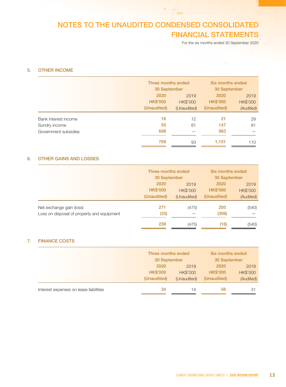For the six months ended 30 September 2020

### 5. OTHER INCOME

| Three months ended<br>30 September<br>30 September<br>2020<br>2020<br>2019<br><b>HK\$'000</b><br><b>HK\$'000</b><br><b>HK\$'000</b><br>(Unaudited)<br>(Unaudited)<br>(Unaudited)<br>16<br>21<br>Bank interest income<br>12<br>55<br>147<br>81<br>Sundry income<br>698<br>983<br>Government subsidies |  |  |                  |                 |
|------------------------------------------------------------------------------------------------------------------------------------------------------------------------------------------------------------------------------------------------------------------------------------------------------|--|--|------------------|-----------------|
|                                                                                                                                                                                                                                                                                                      |  |  | Six months ended |                 |
|                                                                                                                                                                                                                                                                                                      |  |  |                  |                 |
|                                                                                                                                                                                                                                                                                                      |  |  |                  | 2019            |
|                                                                                                                                                                                                                                                                                                      |  |  |                  | <b>HK\$'000</b> |
|                                                                                                                                                                                                                                                                                                      |  |  |                  | (Audited)       |
|                                                                                                                                                                                                                                                                                                      |  |  |                  | 29              |
|                                                                                                                                                                                                                                                                                                      |  |  |                  | 81              |
|                                                                                                                                                                                                                                                                                                      |  |  |                  |                 |
| 769<br>1,151<br>93                                                                                                                                                                                                                                                                                   |  |  |                  | 110             |

### 6. OTHER GAINS AND LOSSES

| Three months ended<br>30 September |                 | Six months ended<br>30 September |                 |
|------------------------------------|-----------------|----------------------------------|-----------------|
|                                    |                 |                                  |                 |
| <b>HK\$'000</b>                    | <b>HK\$'000</b> | <b>HK\$'000</b>                  | <b>HK\$'000</b> |
| (Unaudited)                        | (Unaudited)     | (Unaudited)                      | (Audited)       |
| 271                                | (475)           | 293                              | (540)           |
| (33)                               |                 | (309)                            |                 |
| 238                                | (475)           | (16)                             | (540)           |
|                                    |                 |                                  |                 |

### 7. FINANCE COSTS

|                                        | Three months ended           |                 | Six months ended |                 |
|----------------------------------------|------------------------------|-----------------|------------------|-----------------|
|                                        | 30 September<br>30 September |                 |                  |                 |
|                                        | 2020                         | 2019            | 2020             | 2019            |
|                                        | <b>HK\$'000</b>              | <b>HK\$'000</b> | <b>HK\$'000</b>  | <b>HK\$'000</b> |
|                                        | (Unaudited)                  | (Unaudited)     | (Unaudited)      | (Audited)       |
| Interest expenses on lease liabilities | 34                           | 14              | 56               | -31             |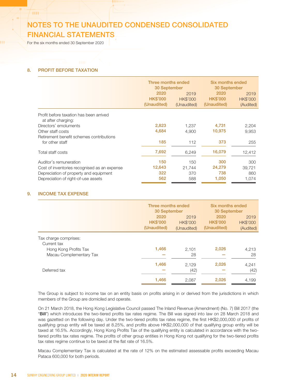For the six months ended 30 September 2020

1999

### 8. PROFIT BEFORE TAXATION

|                                                               | Three months ended<br>30 September<br>2020<br><b>HK\$'000</b> | 2019<br><b>HK\$'000</b> | Six months ended<br>30 September<br>2020<br><b>HK\$'000</b> | 2019<br><b>HK\$'000</b> |
|---------------------------------------------------------------|---------------------------------------------------------------|-------------------------|-------------------------------------------------------------|-------------------------|
|                                                               | (Unaudited)                                                   | (Unaudited)             | (Unaudited)                                                 | (Audited)               |
| Profit before taxation has been arrived<br>at after charging: |                                                               |                         |                                                             |                         |
| Directors' emoluments                                         | 2,823                                                         | 1,237                   | 4,731                                                       | 2,204                   |
| Other staff costs                                             | 4,684                                                         | 4.900                   | 10,975                                                      | 9,953                   |
| Retirement benefit schemes contributions                      |                                                               |                         |                                                             |                         |
| for other staff                                               | 185                                                           | 112                     | 373                                                         | 255                     |
| Total staff costs                                             | 7,692                                                         | 6,249                   | 16,079                                                      | 12,412                  |
| Auditor's remuneration                                        | 150                                                           | 150                     | 300                                                         | 300                     |
| Cost of inventories recognised as an expense                  | 12,643                                                        | 21.744                  | 24,279                                                      | 39.721                  |
| Depreciation of property and equipment                        | 322                                                           | 370                     | 738                                                         | 860                     |
| Depreciation of right-of-use assets                           | 562                                                           | 588                     | 1,050                                                       | 1,074                   |

### 9. INCOME TAX EXPENSE

|                                      | Three months ended |                 | Six months ended |              |
|--------------------------------------|--------------------|-----------------|------------------|--------------|
|                                      |                    | 30 September    |                  | 30 September |
|                                      | 2020               | 2019            | 2020             | 2019         |
|                                      | <b>HK\$'000</b>    | <b>HK\$'000</b> | <b>HK\$'000</b>  | HK\$'000     |
|                                      | (Unaudited)        | (Unaudited)     | (Unaudited)      | (Audited)    |
| Tax charge comprises:<br>Current tax |                    |                 |                  |              |
| Hong Kong Profits Tax                | 1,466              | 2,101           | 2,026            | 4,213        |
| Macau Complementary Tax              |                    | 28              |                  | 28           |
|                                      | 1,466              | 2.129           | 2,026            | 4.241        |
| Deferred tax                         |                    | (42)            |                  | (42)         |
|                                      | 1,466              | 2,087           | 2,026            | 4,199        |
|                                      |                    |                 |                  |              |

The Group is subject to income tax on an entity basis on profits arising in or derived from the jurisdictions in which members of the Group are domiciled and operate.

On 21 March 2018, the Hong Kong Legislative Council passed The Inland Revenue (Amendment) (No. 7) Bill 2017 (the "Bill") which introduces the two-tiered profits tax rates regime. The Bill was signed into law on 28 March 2018 and was gazetted on the following day. Under the two-tiered profits tax rates regime, the first HK\$2,000,000 of profits of qualifying group entity will be taxed at 8.25%, and profits above HK\$2,000,000 of that qualifying group entity will be taxed at 16.5%. Accordingly, Hong Kong Profits Tax of the qualifying entity is calculated in accordance with the twotiered profits tax rates regime. The profits of other group entities in Hong Kong not qualifying for the two-tiered profits tax rates regime continue to be taxed at the flat rate of 16.5%.

Macau Complementary Tax is calculated at the rate of 12% on the estimated assessable profits exceeding Macau Pataca 600,000 for both periods.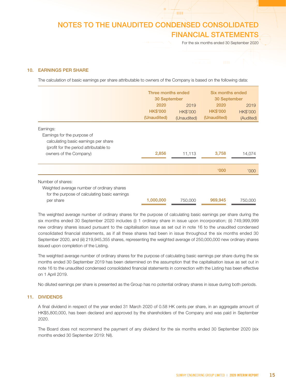**HH** 

For the six months ended 30 September 2020

### 10. EARNINGS PER SHARE

The calculation of basic earnings per share attributable to owners of the Company is based on the following data:

|                                                                                                                               | Three months ended<br>30 September     |                                        | Six months ended<br>30 September       |                                      |
|-------------------------------------------------------------------------------------------------------------------------------|----------------------------------------|----------------------------------------|----------------------------------------|--------------------------------------|
|                                                                                                                               | 2020<br><b>HK\$'000</b><br>(Unaudited) | 2019<br><b>HK\$'000</b><br>(Unaudited) | 2020<br><b>HK\$'000</b><br>(Unaudited) | 2019<br><b>HK\$'000</b><br>(Audited) |
| Earnings:<br>Earnings for the purpose of<br>calculating basic earnings per share                                              |                                        |                                        |                                        |                                      |
| (profit for the period attributable to<br>owners of the Company)                                                              | 2,856                                  | 11,113                                 | 3,758                                  | 14,074                               |
|                                                                                                                               |                                        |                                        | 000'                                   | <b>'000</b>                          |
| Number of shares:<br>Weighted average number of ordinary shares<br>for the purpose of calculating basic earnings<br>per share | 1,000,000                              | 750,000                                | 969,945                                | 750,000                              |

The weighted average number of ordinary shares for the purpose of calculating basic earnings per share during the six months ended 30 September 2020 includes (i) 1 ordinary share in issue upon incorporation; (ii) 749,999,999 new ordinary shares issued pursuant to the capitalisation issue as set out in note 16 to the unaudited condensed consolidated financial statements, as if all these shares had been in issue throughout the six months ended 30 September 2020, and (iii) 219,945,355 shares, representing the weighted average of 250,000,000 new ordinary shares issued upon completion of the Listing.

The weighted average number of ordinary shares for the purpose of calculating basic earnings per share during the six months ended 30 September 2019 has been determined on the assumption that the capitalisation issue as set out in note 16 to the unaudited condensed consolidated financial statements in connection with the Listing has been effective on 1 April 2019.

No diluted earnings per share is presented as the Group has no potential ordinary shares in issue during both periods.

### 11. DIVIDENDS

A final dividend in respect of the year ended 31 March 2020 of 0.58 HK cents per share, in an aggregate amount of HK\$5,800,000, has been declared and approved by the shareholders of the Company and was paid in September 2020.

The Board does not recommend the payment of any dividend for the six months ended 30 September 2020 (six months ended 30 September 2019: Nil).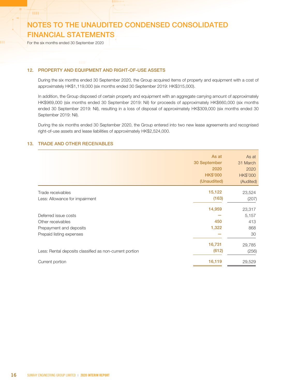For the six months ended 30 September 2020

 $-$ mm $\pm$ 

### 12. PROPERTY AND EQUIPMENT AND RIGHT-OF-USE ASSETS

During the six months ended 30 September 2020, the Group acquired items of property and equipment with a cost of approximately HK\$1,119,000 (six months ended 30 September 2019: HK\$315,000).

In addition, the Group disposed of certain property and equipment with an aggregate carrying amount of approximately HK\$969,000 (six months ended 30 September 2019: Nil) for proceeds of approximately HK\$660,000 (six months ended 30 September 2019: Nil), resulting in a loss of disposal of approximately HK\$309,000 (six months ended 30 September 2019: Nil).

During the six months ended 30 September 2020, the Group entered into two new lease agreements and recognised right-of-use assets and lease liabilities of approximately HK\$2,524,000.

### 13. TRADE AND OTHER RECEIVABLES

|                                                         | As at<br>30 September<br>2020<br><b>HK\$'000</b><br>(Unaudited) | As at<br>31 March<br>2020<br><b>HK\$'000</b><br>(Audited) |
|---------------------------------------------------------|-----------------------------------------------------------------|-----------------------------------------------------------|
| Trade receivables                                       | 15,122                                                          | 23,524                                                    |
| Less: Allowance for impairment                          | (163)                                                           | (207)                                                     |
|                                                         | 14,959                                                          | 23,317                                                    |
| Deferred issue costs                                    |                                                                 | 5,157                                                     |
| Other receivables                                       | 450                                                             | 413                                                       |
| Prepayment and deposits                                 | 1,322                                                           | 868                                                       |
| Prepaid listing expenses                                |                                                                 | 30                                                        |
|                                                         | 16,731                                                          | 29,785                                                    |
| Less: Rental deposits classified as non-current portion | (612)                                                           | (256)                                                     |
| Current portion                                         | 16,119                                                          | 29,529                                                    |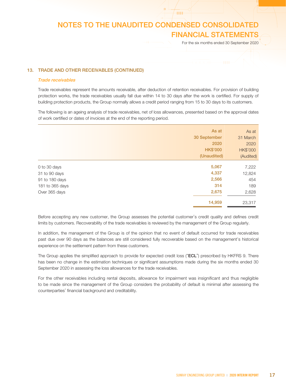**THE** 

For the six months ended 30 September 2020

### 13. TRADE AND OTHER RECEIVABLES (CONTINUED)

#### Trade receivables

Trade receivables represent the amounts receivable, after deduction of retention receivables. For provision of building protection works, the trade receivables usually fall due within 14 to 30 days after the work is certified. For supply of building protection products, the Group normally allows a credit period ranging from 15 to 30 days to its customers.

The following is an ageing analysis of trade receivables, net of loss allowances, presented based on the approval dates of work certified or dates of invoices at the end of the reporting period.

|                 | As at<br>30 September<br>2020<br><b>HK\$'000</b> | As at<br>31 March<br>2020<br><b>HK\$'000</b> |
|-----------------|--------------------------------------------------|----------------------------------------------|
|                 | (Unaudited)                                      | (Audited)                                    |
| 0 to 30 days    | 5,067                                            | 7,222                                        |
| 31 to 90 days   | 4,337                                            | 12,824                                       |
| 91 to 180 days  | 2,566                                            | 454                                          |
| 181 to 365 days | 314                                              | 189                                          |
| Over 365 days   | 2,675                                            | 2,628                                        |
|                 | 14,959                                           | 23,317                                       |

Before accepting any new customer, the Group assesses the potential customer's credit quality and defines credit limits by customers. Recoverability of the trade receivables is reviewed by the management of the Group regularly.

In addition, the management of the Group is of the opinion that no event of default occurred for trade receivables past due over 90 days as the balances are still considered fully recoverable based on the management's historical experience on the settlement pattern from these customers.

The Group applies the simplified approach to provide for expected credit loss ("ECL") prescribed by HKFRS 9. There has been no change in the estimation techniques or significant assumptions made during the six months ended 30 September 2020 in assessing the loss allowances for the trade receivables.

For the other receivables including rental deposits, allowance for impairment was insignificant and thus negligible to be made since the management of the Group considers the probability of default is minimal after assessing the counterparties' financial background and creditability.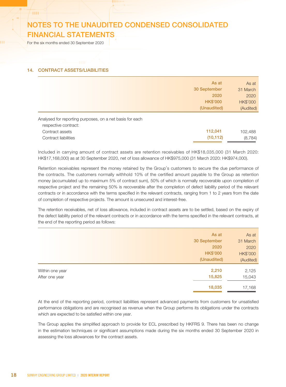For the six months ended 30 September 2020

**HH** 

### 14. CONTRACT ASSETS/LIABILITIES

|                                                                                                                             | As at                | As at               |
|-----------------------------------------------------------------------------------------------------------------------------|----------------------|---------------------|
|                                                                                                                             | 30 September         | 31 March            |
|                                                                                                                             | 2020                 | 2020                |
|                                                                                                                             | <b>HK\$'000</b>      | HK\$'000            |
|                                                                                                                             | (Unaudited)          | (Audited)           |
| Analysed for reporting purposes, on a net basis for each<br>respective contract:<br>Contract assets<br>Contract liabilities | 112,041<br>(10, 112) | 102,488<br>(8, 784) |
|                                                                                                                             |                      |                     |

Included in carrying amount of contract assets are retention receivables of HK\$18,035,000 (31 March 2020: HK\$17,168,000) as at 30 September 2020, net of loss allowance of HK\$975,000 (31 March 2020: HK\$974,000).

Retention receivables represent the money retained by the Group's customers to secure the due performance of the contracts. The customers normally withhold 10% of the certified amount payable to the Group as retention money (accumulated up to maximum 5% of contract sum), 50% of which is normally recoverable upon completion of respective project and the remaining 50% is recoverable after the completion of defect liability period of the relevant contracts or in accordance with the terms specified in the relevant contracts, ranging from 1 to 2 years from the date of completion of respective projects. The amount is unsecured and interest-free.

The retention receivables, net of loss allowance, included in contract assets are to be settled, based on the expiry of the defect liability period of the relevant contracts or in accordance with the terms specified in the relevant contracts, at the end of the reporting period as follows:

|                 | As at           | As at           |
|-----------------|-----------------|-----------------|
|                 | 30 September    | 31 March        |
|                 | 2020            | 2020            |
|                 | <b>HK\$'000</b> | <b>HK\$'000</b> |
|                 | (Unaudited)     | (Audited)       |
| Within one year | 2,210           | 2,125           |
| After one year  | 15,825          | 15,043          |
|                 | 18,035          | 17,168          |
|                 |                 |                 |

At the end of the reporting period, contract liabilities represent advanced payments from customers for unsatisfied performance obligations and are recognised as revenue when the Group performs its obligations under the contracts which are expected to be satisfied within one year.

The Group applies the simplified approach to provide for ECL prescribed by HKFRS 9. There has been no change in the estimation techniques or significant assumptions made during the six months ended 30 September 2020 in assessing the loss allowances for the contract assets.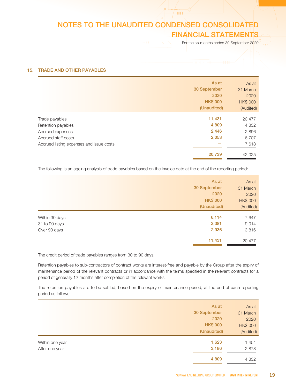**HHF** 

For the six months ended 30 September 2020

### 15. TRADE AND OTHER PAYABLES

|                                          | As at           | As at           |
|------------------------------------------|-----------------|-----------------|
|                                          | 30 September    | 31 March        |
|                                          | 2020            | 2020            |
|                                          | <b>HK\$'000</b> | <b>HK\$'000</b> |
|                                          | (Unaudited)     | (Audited)       |
| Trade payables                           | 11,431          | 20,477          |
| Retention payables                       | 4,809           | 4,332           |
| Accrued expenses                         | 2,446           | 2,896           |
| Accrued staff costs                      | 2,053           | 6,707           |
| Accrued listing expenses and issue costs |                 | 7,613           |
|                                          | 20,739          | 42,025          |
|                                          |                 |                 |

The following is an ageing analysis of trade payables based on the invoice date at the end of the reporting period:

|                | As at           | As at           |
|----------------|-----------------|-----------------|
|                | 30 September    | 31 March        |
|                | 2020            | 2020            |
|                | <b>HK\$'000</b> | <b>HK\$'000</b> |
|                | (Unaudited)     | (Audited)       |
| Within 30 days | 6,114           | 7,647           |
| 31 to 90 days  | 2,381           | 9,014           |
| Over 90 days   | 2,936           | 3,816           |
|                | 11,431          | 20,477          |
|                |                 |                 |

The credit period of trade payables ranges from 30 to 90 days.

Retention payables to sub-contractors of contract works are interest-free and payable by the Group after the expiry of maintenance period of the relevant contracts or in accordance with the terms specified in the relevant contracts for a period of generally 12 months after completion of the relevant works.

The retention payables are to be settled, based on the expiry of maintenance period, at the end of each reporting period as follows:

| As at           | As at           |
|-----------------|-----------------|
| 30 September    | 31 March        |
| 2020            | 2020            |
| <b>HK\$'000</b> | <b>HK\$'000</b> |
| (Unaudited)     | (Audited)       |
| 1,623           | 1,454           |
| 3,186           | 2,878           |
| 4,809           | 4,332           |
|                 |                 |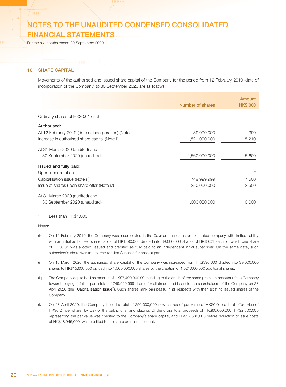For the six months ended 30 September 2020

### 16. SHARE CAPITAL

**THE** 

Movements of the authorised and issued share capital of the Company for the period from 12 February 2019 (date of incorporation of the Company) to 30 September 2020 are as follows:

|                                                      | Number of shares | Amount<br><b>HK\$'000</b> |
|------------------------------------------------------|------------------|---------------------------|
| Ordinary shares of HK\$0.01 each                     |                  |                           |
| Authorised:                                          |                  |                           |
| At 12 February 2019 (date of incorporation) (Note i) | 39,000,000       | 390                       |
| Increase in authorised share capital (Note ii)       | 1,521,000,000    | 15,210                    |
| At 31 March 2020 (audited) and                       |                  |                           |
| 30 September 2020 (unaudited)                        | 1,560,000,000    | 15,600                    |
| Issued and fully paid:                               |                  |                           |
| Upon incorporation                                   |                  |                           |
| Capitalisation issue (Note iii)                      | 749,999,999      | 7,500                     |
| Issue of shares upon share offer (Note iv)           | 250,000,000      | 2,500                     |
| At 31 March 2020 (audited) and                       |                  |                           |
| 30 September 2020 (unaudited)                        | 1,000,000,000    | 10.000                    |

Less than HK\$1,000

#### Notes:

- (i) On 12 February 2019, the Company was incorporated in the Cayman Islands as an exempted company with limited liability with an initial authorised share capital of HK\$390,000 divided into 39,000,000 shares of HK\$0.01 each, of which one share of HK\$0.01 was allotted, issued and credited as fully paid to an independent initial subscriber. On the same date, such subscriber's share was transferred to Ultra Success for cash at par.
- (ii) On 18 March 2020, the authorised share capital of the Company was increased from HK\$390,000 divided into 39,000,000 shares to HK\$15,600,000 divided into 1,560,000,000 shares by the creation of 1,521,000,000 additional shares.
- (iii) The Company capitalised an amount of HK\$7,499,999.99 standing to the credit of the share premium account of the Company towards paying in full at par a total of 749,999,999 shares for allotment and issue to the shareholders of the Company on 23 April 2020 (the "Capitalisation Issue"). Such shares rank pari passu in all respects with then existing issued shares of the Company.
- (iv) On 23 April 2020, the Company issued a total of 250,000,000 new shares of par value of HK\$0.01 each at offer price of HK\$0.24 per share, by way of the public offer and placing. Of the gross total proceeds of HK\$60,000,000, HK\$2,500,000 representing the par value was credited to the Company's share capital, and HK\$57,500,000 before reduction of issue costs of HK\$18,945,000, was credited to the share premium account.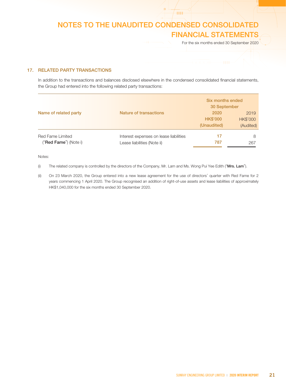$/$  and

For the six months ended 30 September 2020

### 17. RELATED PARTY TRANSACTIONS

 In addition to the transactions and balances disclosed elsewhere in the condensed consolidated financial statements, the Group had entered into the following related party transactions:

| Name of related party          | <b>Nature of transactions</b>          | Six months ended<br>30 September<br>2020<br><b>HK\$'000</b><br>(Unaudited) | 2019<br>HK\$'000<br>(Audited) |
|--------------------------------|----------------------------------------|----------------------------------------------------------------------------|-------------------------------|
| Red Fame Limited               | Interest expenses on lease liabilities | 17                                                                         | 8                             |
| (" <b>Red Fame</b> ") (Note i) | Lease liabilities (Note ii)            | 787                                                                        | 267                           |

Notes:

(i) The related company is controlled by the directors of the Company, Mr. Lam and Ms. Wong Pui Yee Edith ("Mrs. Lam").

(ii) On 23 March 2020, the Group entered into a new lease agreement for the use of directors' quarter with Red Fame for 2 years commencing 1 April 2020. The Group recognised an addition of right-of-use assets and lease liabilities of approximately HK\$1,040,000 for the six months ended 30 September 2020.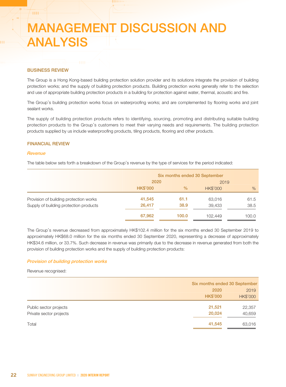### BUSINESS REVIEW

**HH** 

The Group is a Hong Kong-based building protection solution provider and its solutions integrate the provision of building protection works; and the supply of building protection products. Building protection works generally refer to the selection and use of appropriate building protection products in a building for protection against water, thermal, acoustic and fire.

The Group's building protection works focus on waterproofing works; and are complemented by flooring works and joint sealant works.

The supply of building protection products refers to identifying, sourcing, promoting and distributing suitable building protection products to the Group's customers to meet their varying needs and requirements. The building protection products supplied by us include waterproofing products, tiling products, flooring and other products.

### FINANCIAL REVIEW

### **Revenue**

The table below sets forth a breakdown of the Group's revenue by the type of services for the period indicated:

|                                                                                  |                  | Six months ended 30 September<br>2020<br>2019 |                  |              |
|----------------------------------------------------------------------------------|------------------|-----------------------------------------------|------------------|--------------|
|                                                                                  | <b>HK\$'000</b>  | $\%$                                          | <b>HK\$'000</b>  | $\%$         |
| Provision of building protection works<br>Supply of building protection products | 41,545<br>26,417 | 61.1<br>38.9                                  | 63,016<br>39,433 | 61.5<br>38.5 |
|                                                                                  | 67,962           | 100.0                                         | 102.449          | 100.0        |

The Group's revenue decreased from approximately HK\$102.4 million for the six months ended 30 September 2019 to approximately HK\$68.0 million for the six months ended 30 September 2020, representing a decrease of approximately HK\$34.6 million, or 33.7%. Such decrease in revenue was primarily due to the decrease in revenue generated from both the provision of building protection works and the supply of building protection products:

#### Provision of building protection works

Revenue recognised:

|                         | Six months ended 30 September |                 |
|-------------------------|-------------------------------|-----------------|
|                         | 2020                          | 2019            |
|                         | <b>HK\$'000</b>               | <b>HK\$'000</b> |
| Public sector projects  | 21,521                        | 22,357          |
| Private sector projects | 20,024                        | 40,659          |
| Total                   | 41,545                        | 63,016          |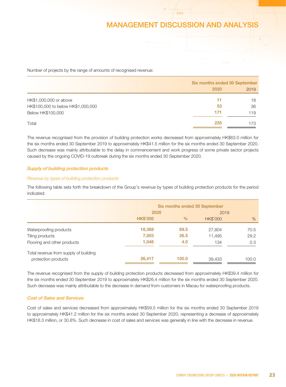**HH** 

Number of projects by the range of amounts of recognised revenue:

|                                    | Six months ended 30 September |      |
|------------------------------------|-------------------------------|------|
|                                    | 2020                          | 2019 |
| HK\$1,000,000 or above             | 11                            | 18   |
| HK\$100,000 to below HK\$1,000,000 | 53                            | 36   |
| Below HK\$100,000                  | 171                           | 119  |
| Total                              | 235                           | 173  |

The revenue recognised from the provision of building protection works decreased from approximately HK\$63.0 million for the six months ended 30 September 2019 to approximately HK\$41.5 million for the six months ended 30 September 2020. Such decrease was mainly attributable to the delay in commencement and work progress of some private sector projects caused by the ongoing COVID-19 outbreak during the six months ended 30 September 2020.

### Supply of building protection products

### Revenue by types of building protection products

The following table sets forth the breakdown of the Group's revenue by types of building protection products for the period indicated:

|                                       | Six months ended 30 September<br>2020 |               | 2019            |       |
|---------------------------------------|---------------------------------------|---------------|-----------------|-------|
|                                       | <b>HK\$'000</b>                       | $\frac{0}{0}$ | <b>HK\$'000</b> | $\%$  |
| Waterproofing products                | 18,368                                | 69.5          | 27,804          | 70.5  |
| Tiling products                       | 7,003                                 | 26.5          | 11,495          | 29.2  |
| Flooring and other products           | 1,046                                 | 4.0           | 134             | 0.3   |
| Total revenue from supply of building |                                       |               |                 |       |
| protection products                   | 26,417                                | 100.0         | 39,433          | 100.0 |

The revenue recognised from the supply of building protection products decreased from approximately HK\$39.4 million for the six months ended 30 September 2019 to approximately HK\$26.4 million for the six months ended 30 September 2020. Such decrease was mainly attributable to the decrease in demand from customers in Macau for waterproofing products.

### Cost of Sales and Services

Cost of sales and services decreased from approximately HK\$59.5 million for the six months ended 30 September 2019 to approximately HK\$41.2 million for the six months ended 30 September 2020, representing a decrease of approximately HK\$18.3 million, or 30.8%. Such decrease in cost of sales and services was generally in line with the decrease in revenue.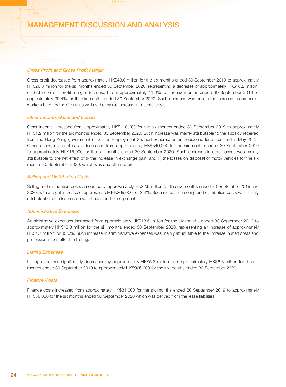### Gross Profit and Gross Profit Margin

 $^{\prime}$  HH  $^{\prime}$ 

Gross profit decreased from approximately HK\$43.0 million for the six months ended 30 September 2019 to approximately HK\$26.8 million for the six months ended 30 September 2020, representing a decrease of approximately HK\$16.2 million, or 37.6%. Gross profit margin decreased from approximately 41.9% for the six months ended 30 September 2019 to approximately 39.4% for the six months ended 30 September 2020. Such decrease was due to the increase in number of workers hired by the Group as well as the overall increase in material costs.

### Other Income, Gains and Losses

Other income increased from approximately HK\$110,000 for the six months ended 30 September 2019 to approximately HK\$1.2 million for the six months ended 30 September 2020. Such increase was mainly attributable to the subsidy received from the Hong Kong government under the Employment Support Scheme, an anti-epidemic fund launched in May 2020. Other losses, on a net basis, decreased from approximately HK\$540,000 for the six months ended 30 September 2019 to approximately HK\$16,000 for the six months ended 30 September 2020. Such decrease in other losses was mainly attributable to the net effect of (i) the increase in exchange gain; and (ii) the losses on disposal of motor vehicles for the six months 30 September 2020, which was one-off in nature.

### Selling and Distribution Costs

Selling and distribution costs amounted to approximately HK\$2.9 million for the six months ended 30 September 2019 and 2020, with a slight increase of approximately HK\$69,000, or 2.4%. Such increase in selling and distribution costs was mainly attributable to the increase in warehouse and storage cost.

#### Administrative Expenses

Administrative expenses increased from approximately HK\$13.5 million for the six months ended 30 September 2019 to approximately HK\$18.3 million for the six months ended 30 September 2020, representing an increase of approximately HK\$4.7 million, or 35.0%. Such increase in administrative expenses was mainly attributable to the increase in staff costs and professional fees after the Listing.

#### Listing Expenses

Listing expenses significantly decreased by approximately HK\$5.3 million from approximately HK\$6.3 million for the six months ended 30 September 2019 to approximately HK\$926,000 for the six months ended 30 September 2020.

#### Finance Costs

Finance costs increased from approximately HK\$31,000 for the six months ended 30 September 2019 to approximately HK\$56,000 for the six months ended 30 September 2020 which was derived from the lease liabilities.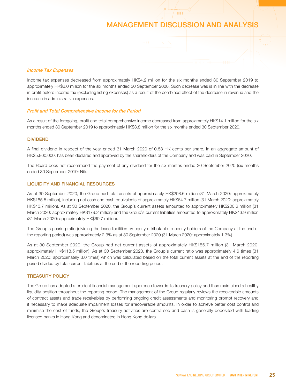**THE** 

#### Income Tax Expenses

Income tax expenses decreased from approximately HK\$4.2 million for the six months ended 30 September 2019 to approximately HK\$2.0 million for the six months ended 30 September 2020. Such decrease was is in line with the decrease in profit before income tax (excluding listing expenses) as a result of the combined effect of the decrease in revenue and the increase in administrative expenses.

### Profit and Total Comprehensive Income for the Period

As a result of the foregoing, profit and total comprehensive income decreased from approximately HK\$14.1 million for the six months ended 30 September 2019 to approximately HK\$3.8 million for the six months ended 30 September 2020.

### DIVIDEND

A final dividend in respect of the year ended 31 March 2020 of 0.58 HK cents per share, in an aggregate amount of HK\$5,800,000, has been declared and approved by the shareholders of the Company and was paid in September 2020.

The Board does not recommend the payment of any dividend for the six months ended 30 September 2020 (six months ended 30 September 2019: Nil).

### LIQUIDITY AND FINANCIAL RESOURCES

As at 30 September 2020, the Group had total assets of approximately HK\$208.6 million (31 March 2020: approximately HK\$185.5 million), including net cash and cash equivalents of approximately HK\$64.7 million (31 March 2020: approximately HK\$40.7 million). As at 30 September 2020, the Group's current assets amounted to approximately HK\$200.6 million (31 March 2020: approximately HK\$179.2 million) and the Group's current liabilities amounted to approximately HK\$43.9 million (31 March 2020: approximately HK\$60.7 million).

The Group's gearing ratio (dividing the lease liabilities by equity attributable to equity holders of the Company at the end of the reporting period) was approximately 2.3% as at 30 September 2020 (31 March 2020: approximately 1.3%).

As at 30 September 2020, the Group had net current assets of approximately HK\$156.7 million (31 March 2020: approximately HK\$118.5 million). As at 30 September 2020, the Group's current ratio was approximately 4.6 times (31 March 2020: approximately 3.0 times) which was calculated based on the total current assets at the end of the reporting period divided by total current liabilities at the end of the reporting period.

#### TREASURY POLICY

The Group has adopted a prudent financial management approach towards its treasury policy and thus maintained a healthy liquidity position throughout the reporting period. The management of the Group regularly reviews the recoverable amounts of contract assets and trade receivables by performing ongoing credit assessments and monitoring prompt recovery and if necessary to make adequate impairment losses for irrecoverable amounts. In order to achieve better cost control and minimise the cost of funds, the Group's treasury activities are centralised and cash is generally deposited with leading licensed banks in Hong Kong and denominated in Hong Kong dollars.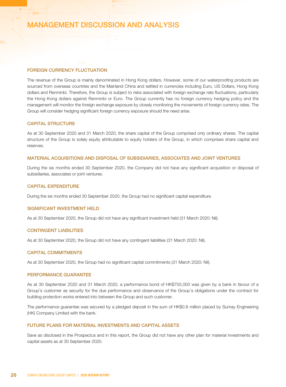### FOREIGN CURRENCY FLUCTUATION

The revenue of the Group is mainly denominated in Hong Kong dollars. However, some of our waterproofing products are sourced from overseas countries and the Mainland China and settled in currencies including Euro, US Dollars, Hong Kong dollars and Renminbi. Therefore, the Group is subject to risks associated with foreign exchange rate fluctuations, particularly the Hong Kong dollars against Renminbi or Euro. The Group currently has no foreign currency hedging policy and the management will monitor the foreign exchange exposure by closely monitoring the movements of foreign currency rates. The Group will consider hedging significant foreign currency exposure should the need arise.

### CAPITAL STRUCTURE

 $^{\prime}$  and

As at 30 September 2020 and 31 March 2020, the share capital of the Group comprised only ordinary shares. The capital structure of the Group is solely equity attributable to equity holders of the Group, in which comprises share capital and reserves.

#### MATERIAL ACQUISITIONS AND DISPOSAL OF SUBSIDIARIES, ASSOCIATES AND JOINT VENTURES

During the six months ended 30 September 2020, the Company did not have any significant acquisition or disposal of subsidiaries, associates or joint ventures.

### CAPITAL EXPENDITURE

During the six months ended 30 September 2020, the Group had no significant capital expenditure.

### SIGNIFICANT INVESTMENT HELD

As at 30 September 2020, the Group did not have any significant investment held (31 March 2020: Nil).

### CONTINGENT LIABILITIES

As at 30 September 2020, the Group did not have any contingent liabilities (31 March 2020: Nil).

#### CAPITAL COMMITMENTS

As at 30 September 2020, the Group had no significant capital commitments (31 March 2020: Nil).

### PERFORMANCE GUARANTEE

As at 30 September 2020 and 31 March 2020, a performance bond of HK\$755,000 was given by a bank in favour of a Group's customer as security for the due performance and observance of the Group's obligations under the contract for building protection works entered into between the Group and such customer.

The performance guarantee was secured by a pledged deposit in the sum of HK\$0.8 million placed by Sunray Engineering (HK) Company Limited with the bank.

#### FUTURE PLANS FOR MATERIAL INVESTMENTS AND CAPITAL ASSETS

Save as disclosed in the Prospectus and in this report, the Group did not have any other plan for material investments and capital assets as at 30 September 2020.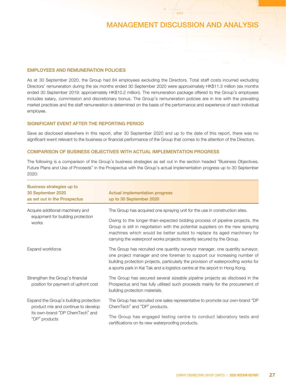**HH** 

### EMPLOYEES AND REMUNERATION POLICIES

As at 30 September 2020, the Group had 84 employees excluding the Directors. Total staff costs incurred excluding Directors' remuneration during the six months ended 30 September 2020 were approximately HK\$11.3 million (six months ended 30 September 2019: approximately HK\$10.2 million). The remuneration package offered to the Group's employees includes salary, commission and discretionary bonus. The Group's remuneration policies are in line with the prevailing market practices and the staff remuneration is determined on the basis of the performance and experience of each individual employee.

### SIGNIFICANT EVENT AFTER THE REPORTING PERIOD

Save as disclosed elsewhere in this report, after 30 September 2020 and up to the date of this report, there was no significant event relevant to the business or financial performance of the Group that comes to the attention of the Directors.

### COMPARISON OF BUSINESS OBJECTIVES WITH ACTUAL IMPLEMENTATION PROGRESS

The following is a comparison of the Group's business strategies as set out in the section headed "Business Objectives, Future Plans and Use of Proceeds" in the Prospectus with the Group's actual implementation progress up to 30 September 2020:

| Business strategies up to<br>30 September 2020<br>as set out in the Prospectus | <b>Actual implementation progress</b><br>up to 30 September 2020                                                                                                                                                                                                                                                                |
|--------------------------------------------------------------------------------|---------------------------------------------------------------------------------------------------------------------------------------------------------------------------------------------------------------------------------------------------------------------------------------------------------------------------------|
| Acquire additional machinery and                                               | The Group has acquired one spraying unit for the use in construction sites.                                                                                                                                                                                                                                                     |
| equipment for building protection<br>works                                     | Owing to the longer-than-expected bidding process of pipeline projects, the<br>Group is still in negotiation with the potential suppliers on the new spraying<br>machines which would be better suited to replace its aged machinery for<br>carrying the waterproof works projects recently secured by the Group.               |
| Expand workforce                                                               | The Group has recruited one quantity surveyor manager, one quantity surveyor,<br>one project manager and one foreman to support our increasing number of<br>building protection projects, particularly the provision of waterproofing works for<br>a sports park in Kai Tak and a logistics centre at the airport in Hong Kong. |
| Strengthen the Group's financial<br>position for payment of upfront cost       | The Group has secured several sizeable pipeline projects as disclosed in the<br>Prospectus and has fully utilised such proceeds mainly for the procurement of<br>building protection materials.                                                                                                                                 |
| Expand the Group's building protection<br>product mix and continue to develop  | The Group has recruited one sales representative to promote our own-brand "DP"<br>ChemTech" and "DP" products.                                                                                                                                                                                                                  |
| its own-brand "DP ChemTech" and<br>"DP" products                               | The Group has engaged testing centre to conduct laboratory tests and<br>certifications on its new waterproofing products.                                                                                                                                                                                                       |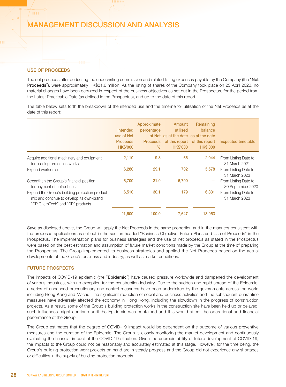### USE OF PROCEEDS

**HH** 

The net proceeds after deducting the underwriting commission and related listing expenses payable by the Company (the "Net Proceeds"), were approximately HK\$21.6 million. As the listing of shares of the Company took place on 23 April 2020, no material changes have been occurred in respect of the business objectives as set out in the Prospectus, for the period from the Latest Practicable Date (as defined in the Prospectus), and up to the date of this report.

The table below sets forth the breakdown of the intended use and the timeline for utilisation of the Net Proceeds as at the date of this report:

|                                                                                                                                | Intended<br>use of Net<br><b>Proceeds</b><br><b>HK\$'000</b> | Approximate<br>percentage<br><b>Proceeds</b><br>$\frac{0}{0}$ | Amount<br>utilised<br>of Net as at the date as at the date<br><b>HK\$'000</b> | Remaining<br>balance<br>of this report of this report<br><b>HK\$'000</b> | <b>Expected timetable</b>                 |
|--------------------------------------------------------------------------------------------------------------------------------|--------------------------------------------------------------|---------------------------------------------------------------|-------------------------------------------------------------------------------|--------------------------------------------------------------------------|-------------------------------------------|
| Acquire additional machinery and equipment<br>for building protection works                                                    | 2,110                                                        | 9.8                                                           | 66                                                                            | 2,044                                                                    | From Listing Date to<br>31 March 2021     |
| Expand workforce                                                                                                               | 6,280                                                        | 29.1                                                          | 702                                                                           | 5,578                                                                    | From Listing Date to<br>31 March 2023     |
| Strengthen the Group's financial position<br>for payment of upfront cost                                                       | 6,700                                                        | 31.0                                                          | 6,700                                                                         |                                                                          | From Listing Date to<br>30 September 2020 |
| Expand the Group's building protection product<br>mix and continue to develop its own-brand<br>"DP ChemTech" and "DP" products | 6,510                                                        | 30.1                                                          | 179                                                                           | 6,331                                                                    | From Listing Date to<br>31 March 2023     |
|                                                                                                                                | 21,600                                                       | 100.0                                                         | 7.647                                                                         | 13,953                                                                   |                                           |

Save as disclosed above, the Group will apply the Net Proceeds in the same proportion and in the manners consistent with the proposed applications as set out in the section headed "Business Objective, Future Plans and Use of Proceeds" in the Prospectus. The implementation plans for business strategies and the use of net proceeds as stated in the Prospectus were based on the best estimation and assumption of future market conditions made by the Group at the time of preparing the Prospectus. The Group implemented its business strategies and applied the Net Proceeds based on the actual developments of the Group's business and industry, as well as market conditions.

#### FUTURE PROSPECTS

The impacts of COVID-19 epidemic (the "Epidemic") have caused pressure worldwide and dampened the development of various industries, with no exception for the construction industry. Due to the sudden and rapid spread of the Epidemic, a series of enhanced precautionary and control measures have been undertaken by the governments across the world including Hong Kong and Macau. The significant reduction of social and business activities and the subsequent quarantine measures have adversely affected the economy in Hong Kong, including the slowdown in the progress of construction projects. As a result, some of the Group's building protection works in the construction site have been held up or delayed, such influences might continue until the Epidemic was contained and this would affect the operational and financial performance of the Group.

The Group estimates that the degree of COVID-19 impact would be dependent on the outcome of various preventive measures and the duration of the Epidemic. The Group is closely monitoring the market development and continuously evaluating the financial impact of the COVID-19 situation. Given the unpredictability of future development of COVID-19, the impacts to the Group could not be reasonably and accurately estimated at this stage. However, for the time being, the Group's building protection work projects on hand are in steady progress and the Group did not experience any shortages or difficulties in the supply of building protection products.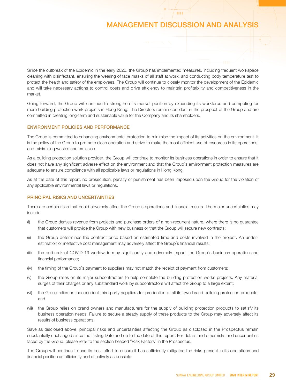**THE** 

Since the outbreak of the Epidemic in the early 2020, the Group has implemented measures, including frequent workspace cleaning with disinfectant, ensuring the wearing of face masks of all staff at work, and conducting body temperature test to protect the health and safety of the employees. The Group will continue to closely monitor the development of the Epidemic and will take necessary actions to control costs and drive efficiency to maintain profitability and competitiveness in the market.

Going forward, the Group will continue to strengthen its market position by expanding its workforce and competing for more building protection work projects in Hong Kong. The Directors remain confident in the prospect of the Group and are committed in creating long-term and sustainable value for the Company and its shareholders.

### ENVIRONMENT POLICIES AND PERFORMANCE

The Group is committed to enhancing environmental protection to minimise the impact of its activities on the environment. It is the policy of the Group to promote clean operation and strive to make the most efficient use of resources in its operations, and minimising wastes and emission.

As a building protection solution provider, the Group will continue to monitor its business operations in order to ensure that it does not have any significant adverse effect on the environment and that the Group's environment protection measures are adequate to ensure compliance with all applicable laws or regulations in Hong Kong.

As at the date of this report, no prosecution, penalty or punishment has been imposed upon the Group for the violation of any applicable environmental laws or regulations.

### PRINCIPAL RISKS AND UNCERTAINTIES

There are certain risks that could adversely affect the Group's operations and financial results. The major uncertainties may include:

- (i) the Group derives revenue from projects and purchase orders of a non-recurrent nature, where there is no guarantee that customers will provide the Group with new business or that the Group will secure new contracts;
- (ii) the Group determines the contract price based on estimated time and costs involved in the project. An underestimation or ineffective cost management may adversely affect the Group's financial results;
- (iii) the outbreak of COVID-19 worldwide may significantly and adversely impact the Group's business operation and financial performance;
- (iv) the timing of the Group's payment to suppliers may not match the receipt of payment from customers;
- (v) the Group relies on its major subcontractors to help complete the building protection works projects. Any material surges of their charges or any substandard work by subcontractors will affect the Group to a large extent;
- (vi) the Group relies on independent third party suppliers for production of all its own-brand building protection products; and
- (vii) the Group relies on brand owners and manufacturers for the supply of building protection products to satisfy its business operation needs. Failure to secure a steady supply of these products to the Group may adversely affect its results of business operations.

Save as disclosed above, principal risks and uncertainties affecting the Group as disclosed in the Prospectus remain substantially unchanged since the Listing Date and up to the date of this report. For details and other risks and uncertainties faced by the Group, please refer to the section headed "Risk Factors" in the Prospectus.

The Group will continue to use its best effort to ensure it has sufficiently mitigated the risks present in its operations and financial position as efficiently and effectively as possible.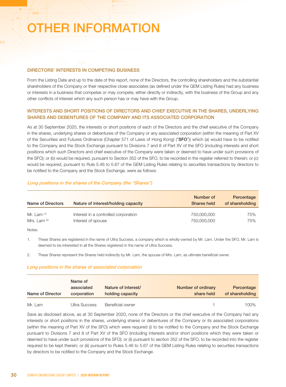# OTHER INFORMATION

### DIRECTORS' INTERESTS IN COMPETING BUSINESS

From the Listing Date and up to the date of this report, none of the Directors, the controlling shareholders and the substantial shareholders of the Company or their respective close associates (as defined under the GEM Listing Rules) had any business or interests in a business that competes or may compete, either directly or indirectly, with the business of the Group and any other conflicts of interest which any such person has or may have with the Group.

### INTERESTS AND SHORT POSITIONS OF DIRECTORS AND CHIEF EXECUTIVE IN THE SHARES, UNDERLYING SHARES AND DEBENTURES OF THE COMPANY AND ITS ASSOCIATED CORPORATION

As at 30 September 2020, the interests or short positions of each of the Directors and the chief executive of the Company in the shares, underlying shares or debentures of the Company or any associated corporation (within the meaning of Part XV of the Securities and Futures Ordinance (Chapter 571 of Laws of Hong Kong) ("SFO")) which (a) would have to be notified to the Company and the Stock Exchange pursuant to Divisions 7 and 8 of Part XV of the SFO (including interests and short positions which such Directors and chief executive of the Company were taken or deemed to have under such provisions of the SFO); or (b) would be required, pursuant to Section 352 of the SFO, to be recorded in the register referred to therein; or (c) would be required, pursuant to Rule 5.46 to 5.67 of the GEM Listing Rules relating to securities transactions by directors to be notified to the Company and the Stock Exchange, were as follows:

### Long positions in the shares of the Company (the "Shares")

| Name of Directors | Nature of interest/holding capacity  | Number of<br><b>Shares held</b> | Percentage<br>of shareholding |
|-------------------|--------------------------------------|---------------------------------|-------------------------------|
| Mr. Lam $(1)$     | Interest in a controlled corporation | 750,000,000                     | 75%                           |
| Mrs. Lam $^{(2)}$ | Interest of spouse                   | 750,000,000                     | 75%                           |

### Notes:

4444

1. These Shares are registered in the name of Ultra Success, a company which is wholly-owned by Mr. Lam. Under the SFO, Mr. Lam is deemed to be interested in all the Shares registered in the name of Ultra Success.

2. These Shares represent the Shares held indirectly by Mr. Lam, the spouse of Mrs. Lam, as ultimate beneficial owner.

### Long positions in the shares of associated corporation

| Name of Director | Name of<br>associated<br>corporation | Nature of interest/<br>holding capacity | Number of ordinary<br>share held | Percentage<br>of shareholding |
|------------------|--------------------------------------|-----------------------------------------|----------------------------------|-------------------------------|
| Mr. Lam          | Ultra Success                        | Beneficial owner                        |                                  | 100%                          |

Save as disclosed above, as at 30 September 2020, none of the Directors or the chief executive of the Company had any interests or short positions in the shares, underlying shares or debentures of the Company or its associated corporations (within the meaning of Part XV of the SFO) which were required (i) to be notified to the Company and the Stock Exchange pursuant to Divisions 7 and 8 of Part XV of the SFO (including interests and/or short positions which they were taken or deemed to have under such provisions of the SFO); or (ii) pursuant to section 352 of the SFO, to be recorded into the register required to be kept therein; or (iii) pursuant to Rules 5.46 to 5.67 of the GEM Listing Rules relating to securities transactions by directors to be notified to the Company and the Stock Exchange.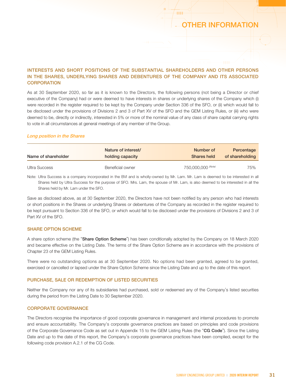### OTHER INFORMATION

4444

### INTERESTS AND SHORT POSITIONS OF THE SUBSTANTIAL SHAREHOLDERS AND OTHER PERSONS IN THE SHARES, UNDERLYING SHARES AND DEBENTURES OF THE COMPANY AND ITS ASSOCIATED **CORPORATION**

As at 30 September 2020, so far as it is known to the Directors, the following persons (not being a Director or chief executive of the Company) had or were deemed to have interests in shares or underlying shares of the Company which (i) were recorded in the register required to be kept by the Company under Section 336 of the SFO, or (ii) which would fall to be disclosed under the provisions of Divisions 2 and 3 of Part XV of the SFO and the GEM Listing Rules, or (iii) who were deemed to be, directly or indirectly, interested in 5% or more of the nominal value of any class of share capital carrying rights to vote in all circumstances at general meetings of any member of the Group.

### Long position in the Shares

| Name of shareholder | Nature of interest/ | Number of          | Percentage      |
|---------------------|---------------------|--------------------|-----------------|
|                     | holding capacity    | <b>Shares held</b> | of shareholding |
| Ultra Success       | Beneficial owner    | 750,000,000 (Note) | 75%             |

Note: Ultra Success is a company incorporated in the BVI and is wholly-owned by Mr. Lam. Mr. Lam is deemed to be interested in all Shares held by Ultra Success for the purpose of SFO. Mrs. Lam, the spouse of Mr. Lam, is also deemed to be interested in all the Shares held by Mr. Lam under the SFO.

Save as disclosed above, as at 30 September 2020, the Directors have not been notified by any person who had interests or short positions in the Shares or underlying Shares or debentures of the Company as recorded in the register required to be kept pursuant to Section 336 of the SFO, or which would fall to be disclosed under the provisions of Divisions 2 and 3 of Part XV of the SFO.

### SHARE OPTION SCHEME

A share option scheme (the "Share Option Scheme") has been conditionally adopted by the Company on 18 March 2020 and became effective on the Listing Date. The terms of the Share Option Scheme are in accordance with the provisions of Chapter 23 of the GEM Listing Rules.

There were no outstanding options as at 30 September 2020. No options had been granted, agreed to be granted, exercised or cancelled or lapsed under the Share Option Scheme since the Listing Date and up to the date of this report.

### PURCHASE, SALE OR REDEMPTION OF LISTED SECURITIES

Neither the Company nor any of its subsidiaries had purchased, sold or redeemed any of the Company's listed securities during the period from the Listing Date to 30 September 2020.

### CORPORATE GOVERNANCE

The Directors recognise the importance of good corporate governance in management and internal procedures to promote and ensure accountability. The Company's corporate governance practices are based on principles and code provisions of the Corporate Governance Code as set out in Appendix 15 to the GEM Listing Rules (the "CG Code"). Since the Listing Date and up to the date of this report, the Company's corporate governance practices have been complied, except for the following code provision A.2.1 of the CG Code.